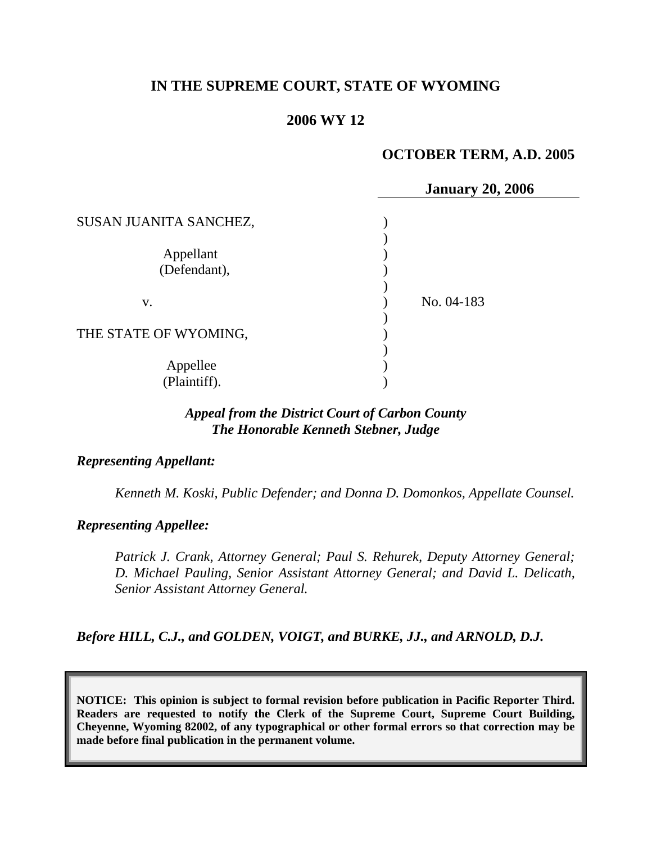# **IN THE SUPREME COURT, STATE OF WYOMING**

## **2006 WY 12**

## **OCTOBER TERM, A.D. 2005**

|                        | <b>January 20, 2006</b> |  |
|------------------------|-------------------------|--|
| SUSAN JUANITA SANCHEZ, |                         |  |
|                        |                         |  |
| Appellant              |                         |  |
| (Defendant),           |                         |  |
|                        |                         |  |
| V.                     | No. 04-183              |  |
| THE STATE OF WYOMING,  |                         |  |
| Appellee               |                         |  |
| (Plaintiff).           |                         |  |

## *Appeal from the District Court of Carbon County The Honorable Kenneth Stebner, Judge*

#### *Representing Appellant:*

 *Kenneth M. Koski, Public Defender; and Donna D. Domonkos, Appellate Counsel.* 

#### *Representing Appellee:*

 *Patrick J. Crank, Attorney General; Paul S. Rehurek, Deputy Attorney General; D. Michael Pauling, Senior Assistant Attorney General; and David L. Delicath, Senior Assistant Attorney General.* 

# *Before HILL, C.J., and GOLDEN, VOIGT, and BURKE, JJ., and ARNOLD, D.J.*

**NOTICE: This opinion is subject to formal revision before publication in Pacific Reporter Third. Readers are requested to notify the Clerk of the Supreme Court, Supreme Court Building, Cheyenne, Wyoming 82002, of any typographical or other formal errors so that correction may be made before final publication in the permanent volume.**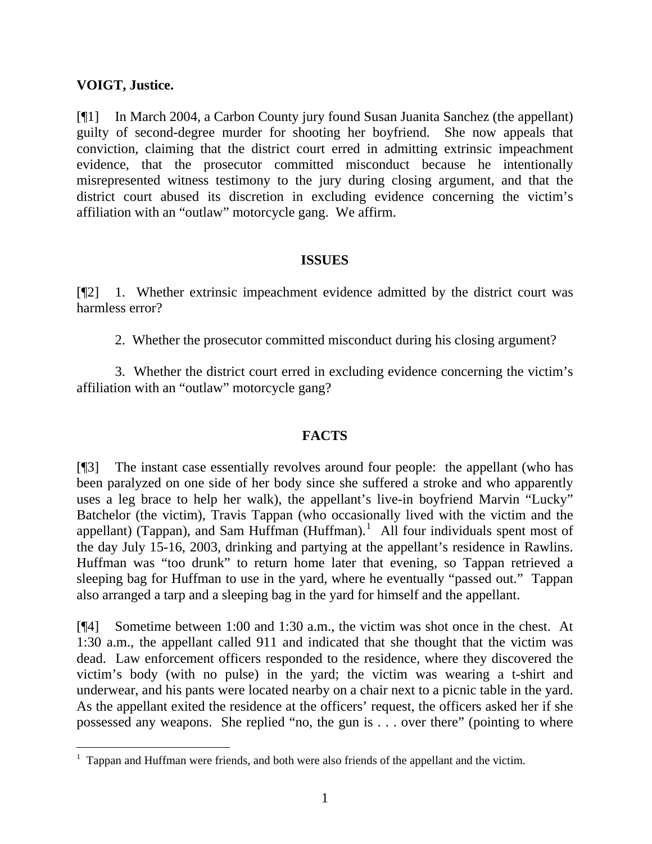#### **VOIGT, Justice.**

 $\overline{a}$ 

[¶1] In March 2004, a Carbon County jury found Susan Juanita Sanchez (the appellant) guilty of second-degree murder for shooting her boyfriend. She now appeals that conviction, claiming that the district court erred in admitting extrinsic impeachment evidence, that the prosecutor committed misconduct because he intentionally misrepresented witness testimony to the jury during closing argument, and that the district court abused its discretion in excluding evidence concerning the victim's affiliation with an "outlaw" motorcycle gang. We affirm.

## **ISSUES**

[¶2] 1. Whether extrinsic impeachment evidence admitted by the district court was harmless error?

2. Whether the prosecutor committed misconduct during his closing argument?

 3. Whether the district court erred in excluding evidence concerning the victim's affiliation with an "outlaw" motorcycle gang?

# **FACTS**

[¶3] The instant case essentially revolves around four people: the appellant (who has been paralyzed on one side of her body since she suffered a stroke and who apparently uses a leg brace to help her walk), the appellant's live-in boyfriend Marvin "Lucky" Batchelor (the victim), Travis Tappan (who occasionally lived with the victim and the appellant) (Tappan), and Sam Huffman  $(Huffman)$ .<sup>[1](#page-1-0)</sup> All four individuals spent most of the day July 15-16, 2003, drinking and partying at the appellant's residence in Rawlins. Huffman was "too drunk" to return home later that evening, so Tappan retrieved a sleeping bag for Huffman to use in the yard, where he eventually "passed out." Tappan also arranged a tarp and a sleeping bag in the yard for himself and the appellant.

[¶4] Sometime between 1:00 and 1:30 a.m., the victim was shot once in the chest. At 1:30 a.m., the appellant called 911 and indicated that she thought that the victim was dead. Law enforcement officers responded to the residence, where they discovered the victim's body (with no pulse) in the yard; the victim was wearing a t-shirt and underwear, and his pants were located nearby on a chair next to a picnic table in the yard. As the appellant exited the residence at the officers' request, the officers asked her if she possessed any weapons. She replied "no, the gun is . . . over there" (pointing to where

<span id="page-1-0"></span> $<sup>1</sup>$  Tappan and Huffman were friends, and both were also friends of the appellant and the victim.</sup>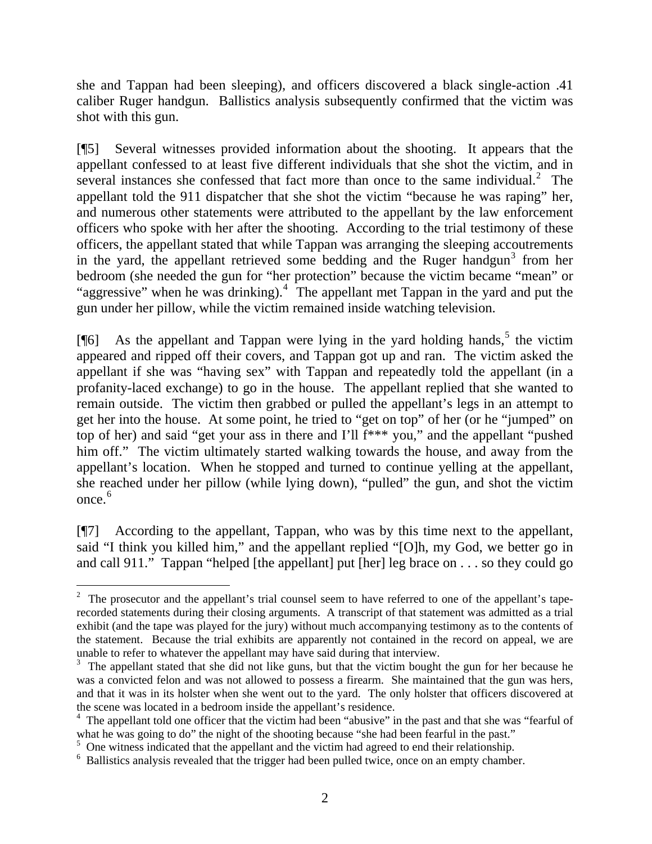she and Tappan had been sleeping), and officers discovered a black single-action .41 caliber Ruger handgun. Ballistics analysis subsequently confirmed that the victim was shot with this gun.

[¶5] Several witnesses provided information about the shooting. It appears that the appellant confessed to at least five different individuals that she shot the victim, and in several instances she confessed that fact more than once to the same individual. $2$  The appellant told the 911 dispatcher that she shot the victim "because he was raping" her, and numerous other statements were attributed to the appellant by the law enforcement officers who spoke with her after the shooting. According to the trial testimony of these officers, the appellant stated that while Tappan was arranging the sleeping accoutrements in the yard, the appellant retrieved some bedding and the Ruger handgun<sup>[3](#page-2-1)</sup> from her bedroom (she needed the gun for "her protection" because the victim became "mean" or "aggressive" when he was drinking).<sup>[4](#page-2-2)</sup> The appellant met Tappan in the yard and put the gun under her pillow, while the victim remained inside watching television.

[ $[$ [6] As the appellant and Tappan were lying in the yard holding hands,<sup>[5](#page-2-3)</sup> the victim appeared and ripped off their covers, and Tappan got up and ran. The victim asked the appellant if she was "having sex" with Tappan and repeatedly told the appellant (in a profanity-laced exchange) to go in the house. The appellant replied that she wanted to remain outside. The victim then grabbed or pulled the appellant's legs in an attempt to get her into the house. At some point, he tried to "get on top" of her (or he "jumped" on top of her) and said "get your ass in there and I'll f\*\*\* you," and the appellant "pushed him off." The victim ultimately started walking towards the house, and away from the appellant's location. When he stopped and turned to continue yelling at the appellant, she reached under her pillow (while lying down), "pulled" the gun, and shot the victim once. $6$ 

[¶7] According to the appellant, Tappan, who was by this time next to the appellant, said "I think you killed him," and the appellant replied "[O]h, my God, we better go in and call 911." Tappan "helped [the appellant] put [her] leg brace on . . . so they could go

<span id="page-2-0"></span> $\overline{a}$ <sup>2</sup> The prosecutor and the appellant's trial counsel seem to have referred to one of the appellant's taperecorded statements during their closing arguments. A transcript of that statement was admitted as a trial exhibit (and the tape was played for the jury) without much accompanying testimony as to the contents of the statement. Because the trial exhibits are apparently not contained in the record on appeal, we are unable to refer to whatever the appellant may have said during that interview.

<span id="page-2-1"></span><sup>&</sup>lt;sup>3</sup> The appellant stated that she did not like guns, but that the victim bought the gun for her because he was a convicted felon and was not allowed to possess a firearm. She maintained that the gun was hers, and that it was in its holster when she went out to the yard. The only holster that officers discovered at the scene was located in a bedroom inside the appellant's residence.

<span id="page-2-2"></span><sup>&</sup>lt;sup>4</sup> The appellant told one officer that the victim had been "abusive" in the past and that she was "fearful of what he was going to do" the night of the shooting because "she had been fearful in the past."

<span id="page-2-3"></span> $5$  One witness indicated that the appellant and the victim had agreed to end their relationship.

<span id="page-2-4"></span><sup>&</sup>lt;sup>6</sup> Ballistics analysis revealed that the trigger had been pulled twice, once on an empty chamber.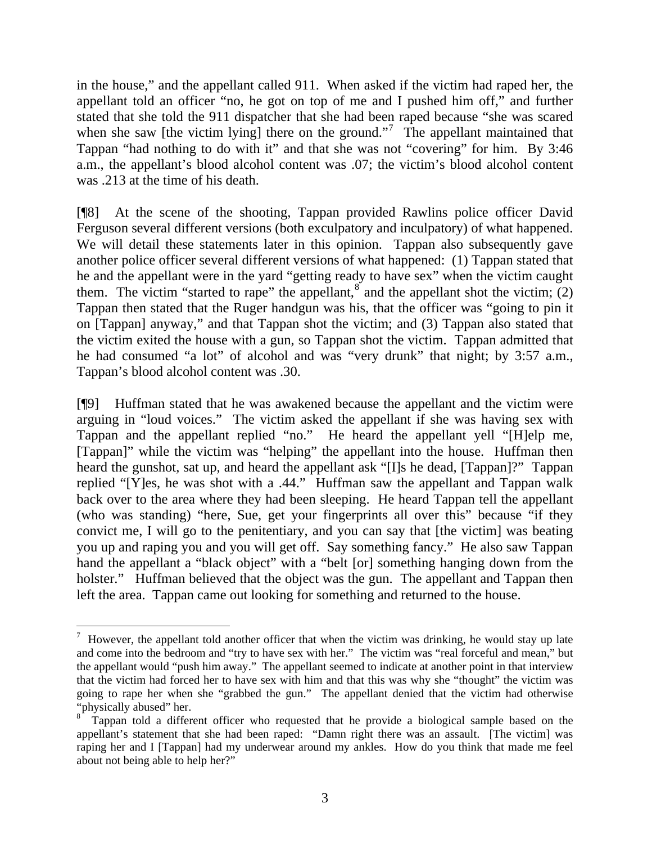in the house," and the appellant called 911. When asked if the victim had raped her, the appellant told an officer "no, he got on top of me and I pushed him off," and further stated that she told the 911 dispatcher that she had been raped because "she was scared when she saw [the victim lying] there on the ground."<sup>[7](#page-3-0)</sup> The appellant maintained that Tappan "had nothing to do with it" and that she was not "covering" for him. By 3:46 a.m., the appellant's blood alcohol content was .07; the victim's blood alcohol content was .213 at the time of his death.

[¶8] At the scene of the shooting, Tappan provided Rawlins police officer David Ferguson several different versions (both exculpatory and inculpatory) of what happened. We will detail these statements later in this opinion. Tappan also subsequently gave another police officer several different versions of what happened: (1) Tappan stated that he and the appellant were in the yard "getting ready to have sex" when the victim caught them. The victim "started to rape" the appellant,  $\delta$  and the appellant shot the victim; (2) Tappan then stated that the Ruger handgun was his, that the officer was "going to pin it on [Tappan] anyway," and that Tappan shot the victim; and (3) Tappan also stated that the victim exited the house with a gun, so Tappan shot the victim. Tappan admitted that he had consumed "a lot" of alcohol and was "very drunk" that night; by 3:57 a.m., Tappan's blood alcohol content was .30.

[¶9] Huffman stated that he was awakened because the appellant and the victim were arguing in "loud voices." The victim asked the appellant if she was having sex with Tappan and the appellant replied "no." He heard the appellant yell "[H]elp me, [Tappan]" while the victim was "helping" the appellant into the house. Huffman then heard the gunshot, sat up, and heard the appellant ask "[I]s he dead, [Tappan]?" Tappan replied "[Y]es, he was shot with a .44." Huffman saw the appellant and Tappan walk back over to the area where they had been sleeping. He heard Tappan tell the appellant (who was standing) "here, Sue, get your fingerprints all over this" because "if they convict me, I will go to the penitentiary, and you can say that [the victim] was beating you up and raping you and you will get off. Say something fancy." He also saw Tappan hand the appellant a "black object" with a "belt [or] something hanging down from the holster." Huffman believed that the object was the gun. The appellant and Tappan then left the area. Tappan came out looking for something and returned to the house.

<span id="page-3-0"></span> $\frac{7}{1}$  However, the appellant told another officer that when the victim was drinking, he would stay up late and come into the bedroom and "try to have sex with her." The victim was "real forceful and mean," but the appellant would "push him away." The appellant seemed to indicate at another point in that interview that the victim had forced her to have sex with him and that this was why she "thought" the victim was going to rape her when she "grabbed the gun." The appellant denied that the victim had otherwise "physically abused" her.

<span id="page-3-1"></span><sup>8</sup> Tappan told a different officer who requested that he provide a biological sample based on the appellant's statement that she had been raped: "Damn right there was an assault. [The victim] was raping her and I [Tappan] had my underwear around my ankles. How do you think that made me feel about not being able to help her?"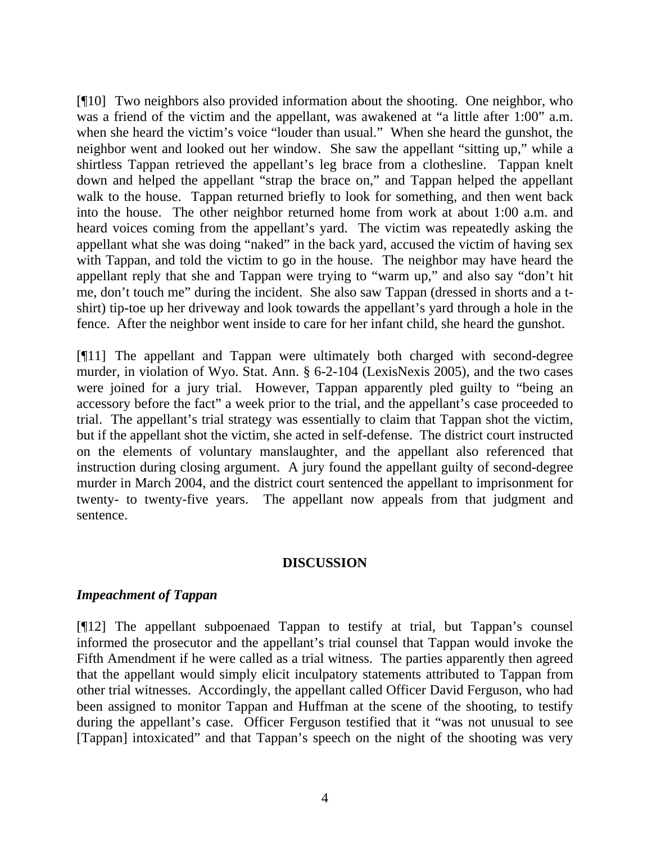[¶10] Two neighbors also provided information about the shooting. One neighbor, who was a friend of the victim and the appellant, was awakened at "a little after 1:00" a.m. when she heard the victim's voice "louder than usual." When she heard the gunshot, the neighbor went and looked out her window. She saw the appellant "sitting up," while a shirtless Tappan retrieved the appellant's leg brace from a clothesline. Tappan knelt down and helped the appellant "strap the brace on," and Tappan helped the appellant walk to the house. Tappan returned briefly to look for something, and then went back into the house. The other neighbor returned home from work at about 1:00 a.m. and heard voices coming from the appellant's yard. The victim was repeatedly asking the appellant what she was doing "naked" in the back yard, accused the victim of having sex with Tappan, and told the victim to go in the house. The neighbor may have heard the appellant reply that she and Tappan were trying to "warm up," and also say "don't hit me, don't touch me" during the incident. She also saw Tappan (dressed in shorts and a tshirt) tip-toe up her driveway and look towards the appellant's yard through a hole in the fence. After the neighbor went inside to care for her infant child, she heard the gunshot.

[¶11] The appellant and Tappan were ultimately both charged with second-degree murder, in violation of Wyo. Stat. Ann. § 6-2-104 (LexisNexis 2005), and the two cases were joined for a jury trial. However, Tappan apparently pled guilty to "being an accessory before the fact" a week prior to the trial, and the appellant's case proceeded to trial. The appellant's trial strategy was essentially to claim that Tappan shot the victim, but if the appellant shot the victim, she acted in self-defense. The district court instructed on the elements of voluntary manslaughter, and the appellant also referenced that instruction during closing argument. A jury found the appellant guilty of second-degree murder in March 2004, and the district court sentenced the appellant to imprisonment for twenty- to twenty-five years. The appellant now appeals from that judgment and sentence.

#### **DISCUSSION**

#### *Impeachment of Tappan*

[¶12] The appellant subpoenaed Tappan to testify at trial, but Tappan's counsel informed the prosecutor and the appellant's trial counsel that Tappan would invoke the Fifth Amendment if he were called as a trial witness. The parties apparently then agreed that the appellant would simply elicit inculpatory statements attributed to Tappan from other trial witnesses. Accordingly, the appellant called Officer David Ferguson, who had been assigned to monitor Tappan and Huffman at the scene of the shooting, to testify during the appellant's case. Officer Ferguson testified that it "was not unusual to see [Tappan] intoxicated" and that Tappan's speech on the night of the shooting was very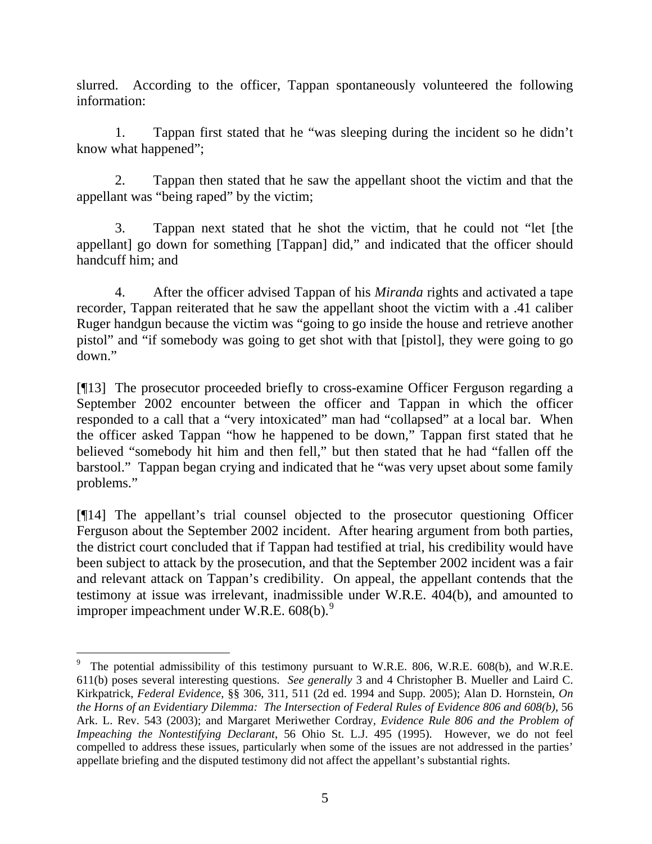slurred. According to the officer, Tappan spontaneously volunteered the following information:

 1. Tappan first stated that he "was sleeping during the incident so he didn't know what happened";

 2. Tappan then stated that he saw the appellant shoot the victim and that the appellant was "being raped" by the victim;

 3. Tappan next stated that he shot the victim, that he could not "let [the appellant] go down for something [Tappan] did," and indicated that the officer should handcuff him; and

 4. After the officer advised Tappan of his *Miranda* rights and activated a tape recorder, Tappan reiterated that he saw the appellant shoot the victim with a .41 caliber Ruger handgun because the victim was "going to go inside the house and retrieve another pistol" and "if somebody was going to get shot with that [pistol], they were going to go down."

[¶13] The prosecutor proceeded briefly to cross-examine Officer Ferguson regarding a September 2002 encounter between the officer and Tappan in which the officer responded to a call that a "very intoxicated" man had "collapsed" at a local bar. When the officer asked Tappan "how he happened to be down," Tappan first stated that he believed "somebody hit him and then fell," but then stated that he had "fallen off the barstool." Tappan began crying and indicated that he "was very upset about some family problems."

[¶14] The appellant's trial counsel objected to the prosecutor questioning Officer Ferguson about the September 2002 incident. After hearing argument from both parties, the district court concluded that if Tappan had testified at trial, his credibility would have been subject to attack by the prosecution, and that the September 2002 incident was a fair and relevant attack on Tappan's credibility. On appeal, the appellant contends that the testimony at issue was irrelevant, inadmissible under W.R.E. 404(b), and amounted to improper impeachment under W.R.E.  $608(b)$ .<sup>[9](#page-5-0)</sup>

<span id="page-5-0"></span> $9$  The potential admissibility of this testimony pursuant to W.R.E. 806, W.R.E. 608(b), and W.R.E. 611(b) poses several interesting questions. *See generally* 3 and 4 Christopher B. Mueller and Laird C. Kirkpatrick, *Federal Evidence*, §§ 306, 311, 511 (2d ed. 1994 and Supp. 2005); Alan D. Hornstein, *On the Horns of an Evidentiary Dilemma: The Intersection of Federal Rules of Evidence 806 and 608(b)*, 56 Ark. L. Rev. 543 (2003); and Margaret Meriwether Cordray*, Evidence Rule 806 and the Problem of Impeaching the Nontestifying Declarant*, 56 Ohio St. L.J. 495 (1995). However, we do not feel compelled to address these issues, particularly when some of the issues are not addressed in the parties' appellate briefing and the disputed testimony did not affect the appellant's substantial rights.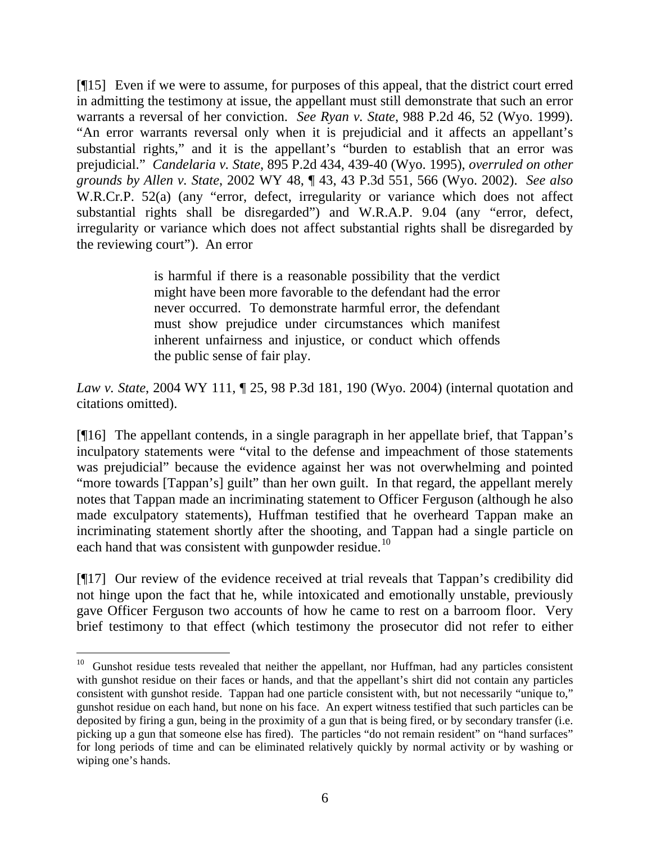[¶15] Even if we were to assume, for purposes of this appeal, that the district court erred in admitting the testimony at issue, the appellant must still demonstrate that such an error warrants a reversal of her conviction. *See Ryan v. State*, 988 P.2d 46, 52 (Wyo. 1999). "An error warrants reversal only when it is prejudicial and it affects an appellant's substantial rights," and it is the appellant's "burden to establish that an error was prejudicial." *Candelaria v. State*, 895 P.2d 434, 439-40 (Wyo. 1995), *overruled on other grounds by Allen v. State*, 2002 WY 48, ¶ 43, 43 P.3d 551, 566 (Wyo. 2002). *See also* W.R.Cr.P. 52(a) (any "error, defect, irregularity or variance which does not affect substantial rights shall be disregarded") and W.R.A.P. 9.04 (any "error, defect, irregularity or variance which does not affect substantial rights shall be disregarded by the reviewing court"). An error

> is harmful if there is a reasonable possibility that the verdict might have been more favorable to the defendant had the error never occurred. To demonstrate harmful error, the defendant must show prejudice under circumstances which manifest inherent unfairness and injustice, or conduct which offends the public sense of fair play.

*Law v. State*, 2004 WY 111, ¶ 25, 98 P.3d 181, 190 (Wyo. 2004) (internal quotation and citations omitted).

[¶16] The appellant contends, in a single paragraph in her appellate brief, that Tappan's inculpatory statements were "vital to the defense and impeachment of those statements was prejudicial" because the evidence against her was not overwhelming and pointed "more towards [Tappan's] guilt" than her own guilt. In that regard, the appellant merely notes that Tappan made an incriminating statement to Officer Ferguson (although he also made exculpatory statements), Huffman testified that he overheard Tappan make an incriminating statement shortly after the shooting, and Tappan had a single particle on each hand that was consistent with gunpowder residue.<sup>[10](#page-6-0)</sup>

[¶17] Our review of the evidence received at trial reveals that Tappan's credibility did not hinge upon the fact that he, while intoxicated and emotionally unstable, previously gave Officer Ferguson two accounts of how he came to rest on a barroom floor. Very brief testimony to that effect (which testimony the prosecutor did not refer to either

<span id="page-6-0"></span> $10$  Gunshot residue tests revealed that neither the appellant, nor Huffman, had any particles consistent with gunshot residue on their faces or hands, and that the appellant's shirt did not contain any particles consistent with gunshot reside. Tappan had one particle consistent with, but not necessarily "unique to," gunshot residue on each hand, but none on his face. An expert witness testified that such particles can be deposited by firing a gun, being in the proximity of a gun that is being fired, or by secondary transfer (i.e. picking up a gun that someone else has fired). The particles "do not remain resident" on "hand surfaces" for long periods of time and can be eliminated relatively quickly by normal activity or by washing or wiping one's hands.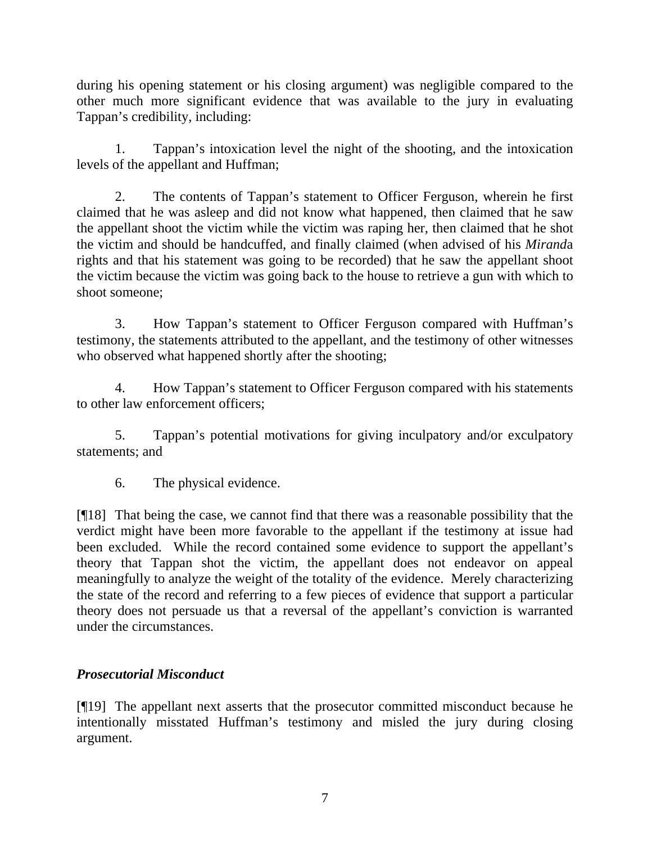during his opening statement or his closing argument) was negligible compared to the other much more significant evidence that was available to the jury in evaluating Tappan's credibility, including:

1. Tappan's intoxication level the night of the shooting, and the intoxication levels of the appellant and Huffman;

2. The contents of Tappan's statement to Officer Ferguson, wherein he first claimed that he was asleep and did not know what happened, then claimed that he saw the appellant shoot the victim while the victim was raping her, then claimed that he shot the victim and should be handcuffed, and finally claimed (when advised of his *Mirand*a rights and that his statement was going to be recorded) that he saw the appellant shoot the victim because the victim was going back to the house to retrieve a gun with which to shoot someone;

3. How Tappan's statement to Officer Ferguson compared with Huffman's testimony, the statements attributed to the appellant, and the testimony of other witnesses who observed what happened shortly after the shooting;

4. How Tappan's statement to Officer Ferguson compared with his statements to other law enforcement officers;

5. Tappan's potential motivations for giving inculpatory and/or exculpatory statements; and

6. The physical evidence.

[¶18] That being the case, we cannot find that there was a reasonable possibility that the verdict might have been more favorable to the appellant if the testimony at issue had been excluded. While the record contained some evidence to support the appellant's theory that Tappan shot the victim, the appellant does not endeavor on appeal meaningfully to analyze the weight of the totality of the evidence. Merely characterizing the state of the record and referring to a few pieces of evidence that support a particular theory does not persuade us that a reversal of the appellant's conviction is warranted under the circumstances.

# *Prosecutorial Misconduct*

[¶19] The appellant next asserts that the prosecutor committed misconduct because he intentionally misstated Huffman's testimony and misled the jury during closing argument.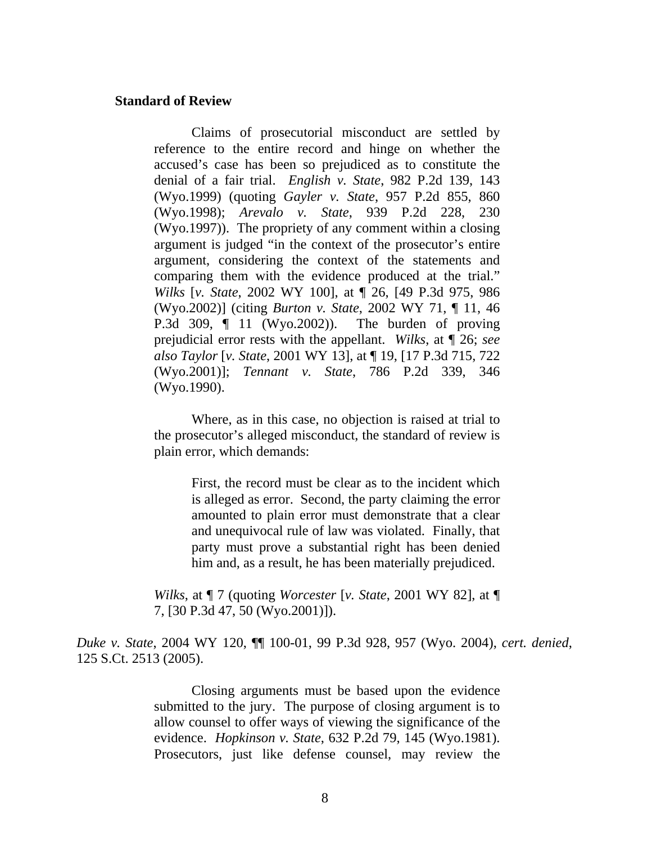#### **Standard of Review**

Claims of prosecutorial misconduct are settled by reference to the entire record and hinge on whether the accused's case has been so prejudiced as to constitute the denial of a fair trial. *English v. State*, 982 P.2d 139, 143 (Wyo.1999) (quoting *Gayler v. State*, 957 P.2d 855, 860 (Wyo.1998); *Arevalo v. State*, 939 P.2d 228, 230 (Wyo.1997)). The propriety of any comment within a closing argument is judged "in the context of the prosecutor's entire argument, considering the context of the statements and comparing them with the evidence produced at the trial." *Wilks* [*v. State*, 2002 WY 100], at ¶ 26, [49 P.3d 975, 986 (Wyo.2002)] (citing *Burton v. State*, 2002 WY 71, ¶ 11, 46 P.3d 309, ¶ 11 (Wyo.2002)). The burden of proving prejudicial error rests with the appellant. *Wilks*, at ¶ 26; *see also Taylor* [*v. State*, 2001 WY 13], at ¶ 19, [17 P.3d 715, 722 (Wyo.2001)]; *Tennant v. State*, 786 P.2d 339, 346 (Wyo.1990).

 Where, as in this case, no objection is raised at trial to the prosecutor's alleged misconduct, the standard of review is plain error, which demands:

> First, the record must be clear as to the incident which is alleged as error. Second, the party claiming the error amounted to plain error must demonstrate that a clear and unequivocal rule of law was violated. Finally, that party must prove a substantial right has been denied him and, as a result, he has been materially prejudiced.

*Wilks*, at ¶ 7 (quoting *Worcester* [*v. State*, 2001 WY 82], at ¶ 7, [30 P.3d 47, 50 (Wyo.2001)]).

*Duke v. State*, 2004 WY 120, ¶¶ 100-01, 99 P.3d 928, 957 (Wyo. 2004), *cert. denied*, 125 S.Ct. 2513 (2005).

> Closing arguments must be based upon the evidence submitted to the jury. The purpose of closing argument is to allow counsel to offer ways of viewing the significance of the evidence. *Hopkinson v. State*, 632 P.2d 79, 145 (Wyo.1981). Prosecutors, just like defense counsel, may review the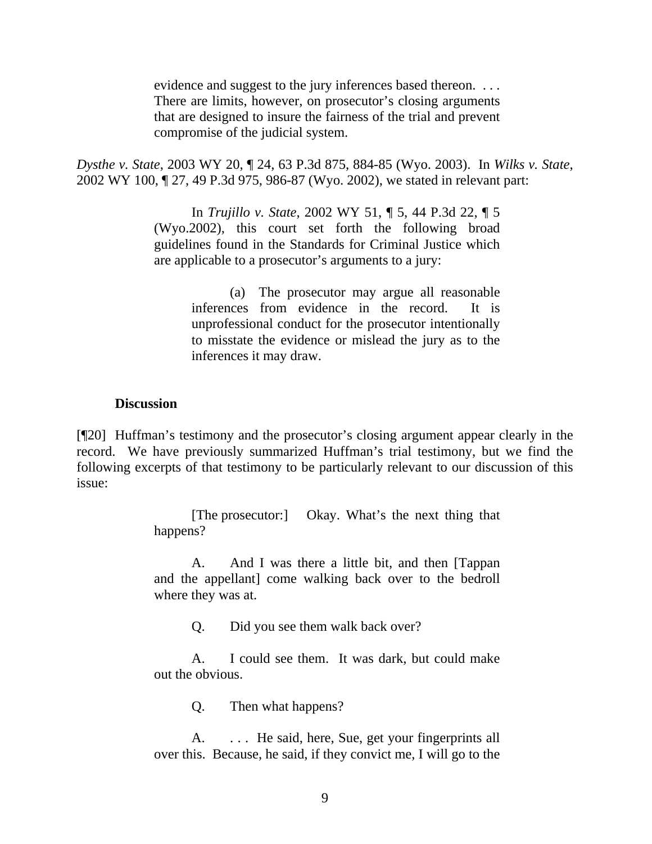evidence and suggest to the jury inferences based thereon. . . . There are limits, however, on prosecutor's closing arguments that are designed to insure the fairness of the trial and prevent compromise of the judicial system.

*Dysthe v. State*, 2003 WY 20, ¶ 24, 63 P.3d 875, 884-85 (Wyo. 2003). In *Wilks v. State*, 2002 WY 100, ¶ 27, 49 P.3d 975, 986-87 (Wyo. 2002), we stated in relevant part:

> In *Trujillo v. State*, 2002 WY 51, ¶ 5, 44 P.3d 22, ¶ 5 (Wyo.2002), this court set forth the following broad guidelines found in the Standards for Criminal Justice which are applicable to a prosecutor's arguments to a jury:

> > (a) The prosecutor may argue all reasonable inferences from evidence in the record. It is unprofessional conduct for the prosecutor intentionally to misstate the evidence or mislead the jury as to the inferences it may draw.

#### **Discussion**

[¶20] Huffman's testimony and the prosecutor's closing argument appear clearly in the record. We have previously summarized Huffman's trial testimony, but we find the following excerpts of that testimony to be particularly relevant to our discussion of this issue:

> [The prosecutor:] Okay. What's the next thing that happens?

> A. And I was there a little bit, and then [Tappan and the appellant] come walking back over to the bedroll where they was at.

> > Q. Did you see them walk back over?

 A. I could see them. It was dark, but could make out the obvious.

Q. Then what happens?

A. ... He said, here, Sue, get your fingerprints all over this. Because, he said, if they convict me, I will go to the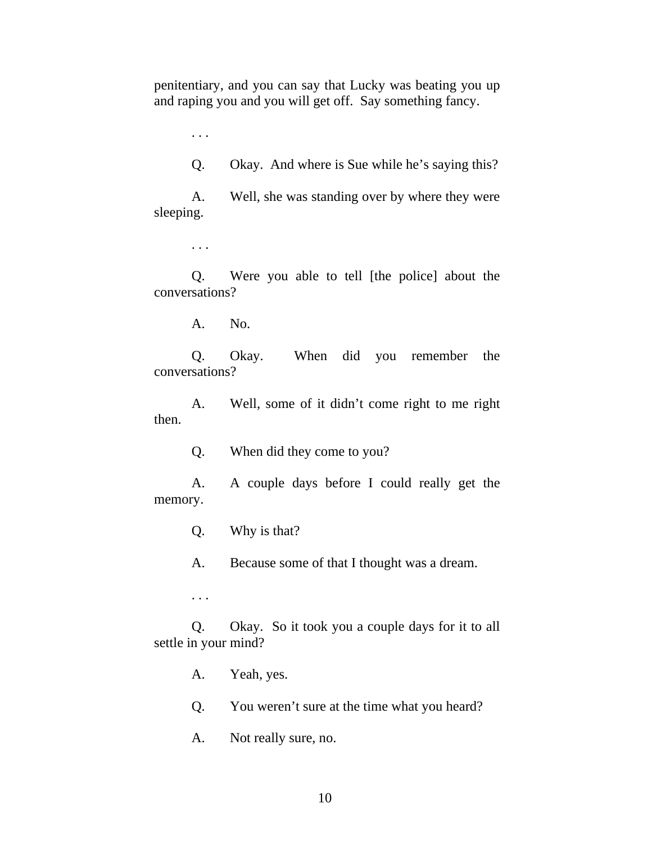penitentiary, and you can say that Lucky was beating you up and raping you and you will get off. Say something fancy.

. . .

Q. Okay. And where is Sue while he's saying this?

 A. Well, she was standing over by where they were sleeping.

. . .

 Q. Were you able to tell [the police] about the conversations?

A. No.

 Q. Okay. When did you remember the conversations?

 A. Well, some of it didn't come right to me right then.

Q. When did they come to you?

 A. A couple days before I could really get the memory.

Q. Why is that?

A. Because some of that I thought was a dream.

. . .

 Q. Okay. So it took you a couple days for it to all settle in your mind?

A. Yeah, yes.

Q. You weren't sure at the time what you heard?

A. Not really sure, no.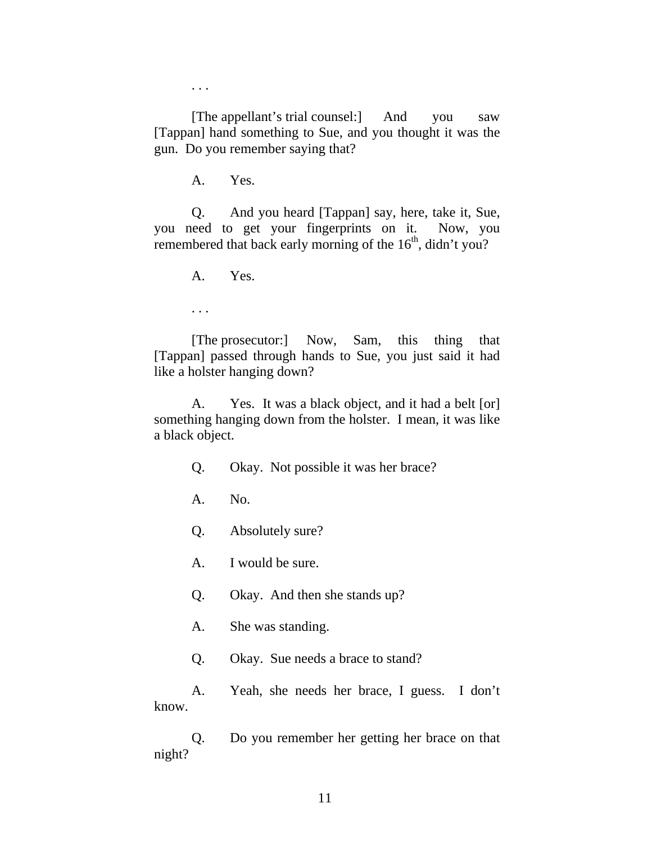. . .

 [The appellant's trial counsel:] And you saw [Tappan] hand something to Sue, and you thought it was the gun. Do you remember saying that?

A. Yes.

 Q. And you heard [Tappan] say, here, take it, Sue, you need to get your fingerprints on it. Now, you remembered that back early morning of the  $16<sup>th</sup>$ , didn't you?

A. Yes.

. . .

 [The prosecutor:] Now, Sam, this thing that [Tappan] passed through hands to Sue, you just said it had like a holster hanging down?

 A. Yes. It was a black object, and it had a belt [or] something hanging down from the holster. I mean, it was like a black object.

- Q. Okay. Not possible it was her brace?
- A. No.
- Q. Absolutely sure?
- A. I would be sure.
- Q. Okay. And then she stands up?
- A. She was standing.
- Q. Okay. Sue needs a brace to stand?

 A. Yeah, she needs her brace, I guess. I don't know.

 Q. Do you remember her getting her brace on that night?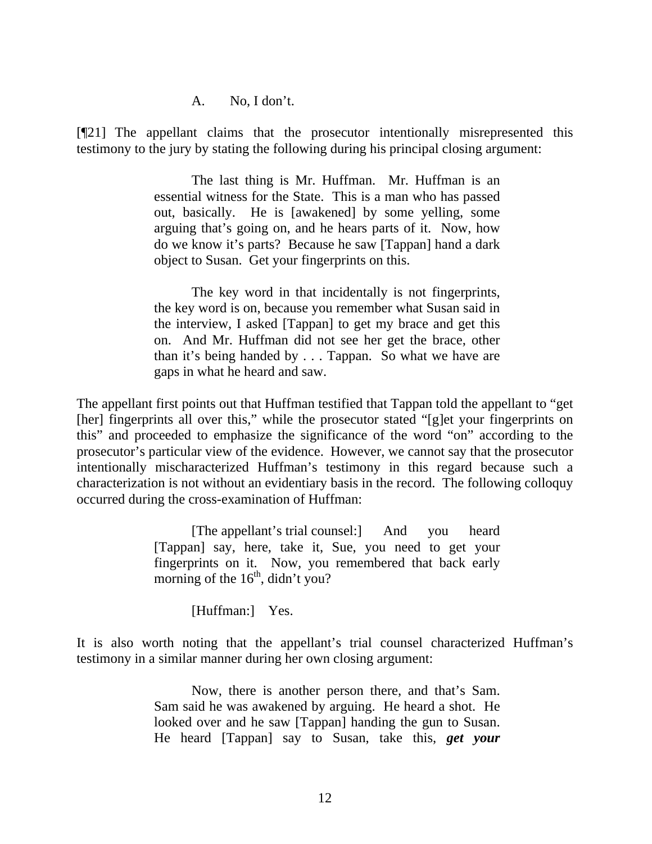A. No, I don't.

[¶21] The appellant claims that the prosecutor intentionally misrepresented this testimony to the jury by stating the following during his principal closing argument:

> The last thing is Mr. Huffman. Mr. Huffman is an essential witness for the State. This is a man who has passed out, basically. He is [awakened] by some yelling, some arguing that's going on, and he hears parts of it. Now, how do we know it's parts? Because he saw [Tappan] hand a dark object to Susan. Get your fingerprints on this.

> The key word in that incidentally is not fingerprints, the key word is on, because you remember what Susan said in the interview, I asked [Tappan] to get my brace and get this on. And Mr. Huffman did not see her get the brace, other than it's being handed by . . . Tappan. So what we have are gaps in what he heard and saw.

The appellant first points out that Huffman testified that Tappan told the appellant to "get [her] fingerprints all over this," while the prosecutor stated "[g]et your fingerprints on this" and proceeded to emphasize the significance of the word "on" according to the prosecutor's particular view of the evidence. However, we cannot say that the prosecutor intentionally mischaracterized Huffman's testimony in this regard because such a characterization is not without an evidentiary basis in the record. The following colloquy occurred during the cross-examination of Huffman:

> [The appellant's trial counsel:] And you heard [Tappan] say, here, take it, Sue, you need to get your fingerprints on it. Now, you remembered that back early morning of the  $16<sup>th</sup>$ , didn't you?

> > [Huffman:] Yes.

It is also worth noting that the appellant's trial counsel characterized Huffman's testimony in a similar manner during her own closing argument:

> Now, there is another person there, and that's Sam. Sam said he was awakened by arguing. He heard a shot. He looked over and he saw [Tappan] handing the gun to Susan. He heard [Tappan] say to Susan, take this, *get your*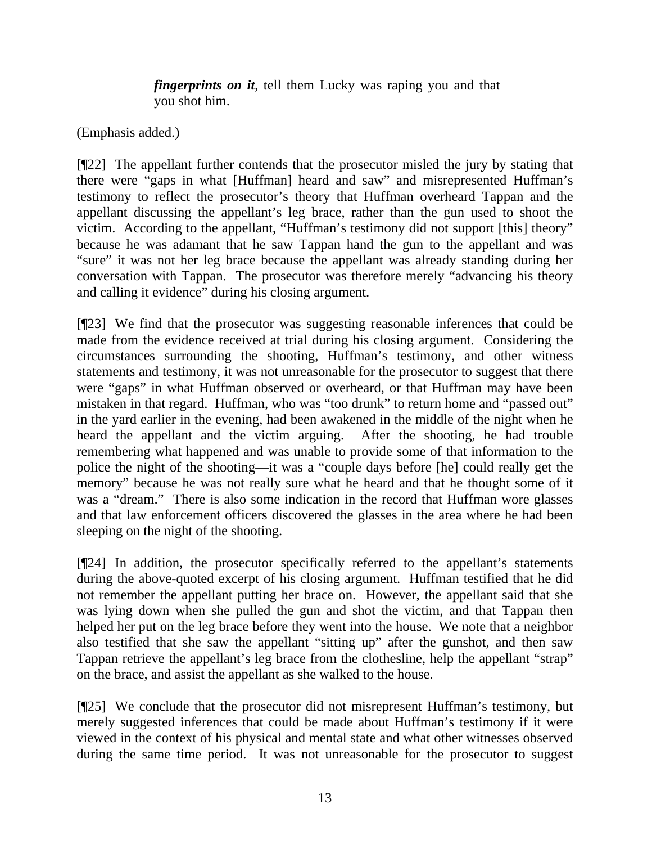*fingerprints on it*, tell them Lucky was raping you and that you shot him.

(Emphasis added.)

[¶22] The appellant further contends that the prosecutor misled the jury by stating that there were "gaps in what [Huffman] heard and saw" and misrepresented Huffman's testimony to reflect the prosecutor's theory that Huffman overheard Tappan and the appellant discussing the appellant's leg brace, rather than the gun used to shoot the victim. According to the appellant, "Huffman's testimony did not support [this] theory" because he was adamant that he saw Tappan hand the gun to the appellant and was "sure" it was not her leg brace because the appellant was already standing during her conversation with Tappan. The prosecutor was therefore merely "advancing his theory and calling it evidence" during his closing argument.

[¶23] We find that the prosecutor was suggesting reasonable inferences that could be made from the evidence received at trial during his closing argument. Considering the circumstances surrounding the shooting, Huffman's testimony, and other witness statements and testimony, it was not unreasonable for the prosecutor to suggest that there were "gaps" in what Huffman observed or overheard, or that Huffman may have been mistaken in that regard. Huffman, who was "too drunk" to return home and "passed out" in the yard earlier in the evening, had been awakened in the middle of the night when he heard the appellant and the victim arguing. After the shooting, he had trouble remembering what happened and was unable to provide some of that information to the police the night of the shooting—it was a "couple days before [he] could really get the memory" because he was not really sure what he heard and that he thought some of it was a "dream." There is also some indication in the record that Huffman wore glasses and that law enforcement officers discovered the glasses in the area where he had been sleeping on the night of the shooting.

[¶24] In addition, the prosecutor specifically referred to the appellant's statements during the above-quoted excerpt of his closing argument. Huffman testified that he did not remember the appellant putting her brace on. However, the appellant said that she was lying down when she pulled the gun and shot the victim, and that Tappan then helped her put on the leg brace before they went into the house. We note that a neighbor also testified that she saw the appellant "sitting up" after the gunshot, and then saw Tappan retrieve the appellant's leg brace from the clothesline, help the appellant "strap" on the brace, and assist the appellant as she walked to the house.

[¶25] We conclude that the prosecutor did not misrepresent Huffman's testimony, but merely suggested inferences that could be made about Huffman's testimony if it were viewed in the context of his physical and mental state and what other witnesses observed during the same time period. It was not unreasonable for the prosecutor to suggest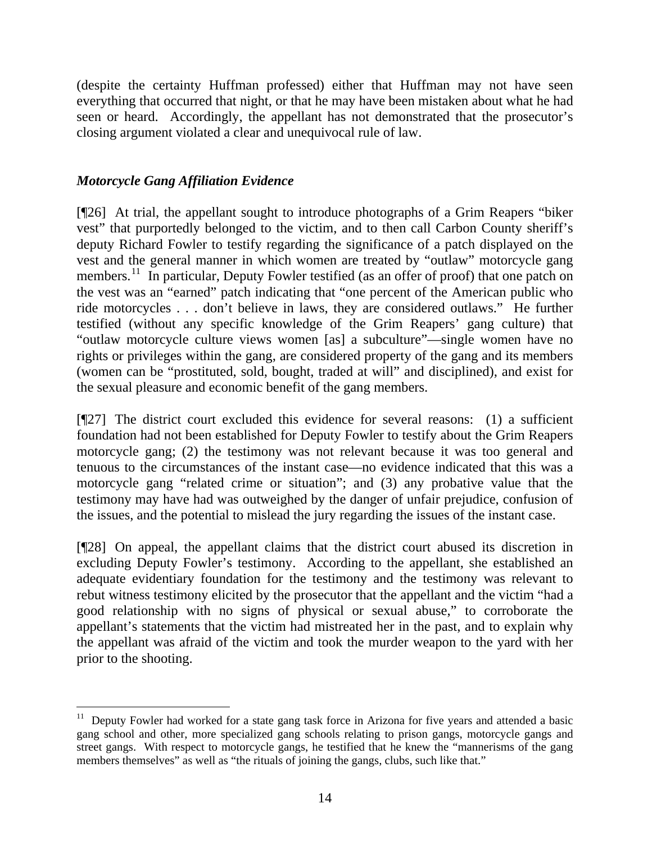(despite the certainty Huffman professed) either that Huffman may not have seen everything that occurred that night, or that he may have been mistaken about what he had seen or heard. Accordingly, the appellant has not demonstrated that the prosecutor's closing argument violated a clear and unequivocal rule of law.

# *Motorcycle Gang Affiliation Evidence*

[¶26] At trial, the appellant sought to introduce photographs of a Grim Reapers "biker vest" that purportedly belonged to the victim, and to then call Carbon County sheriff's deputy Richard Fowler to testify regarding the significance of a patch displayed on the vest and the general manner in which women are treated by "outlaw" motorcycle gang members.<sup>[11](#page-14-0)</sup> In particular, Deputy Fowler testified (as an offer of proof) that one patch on the vest was an "earned" patch indicating that "one percent of the American public who ride motorcycles . . . don't believe in laws, they are considered outlaws." He further testified (without any specific knowledge of the Grim Reapers' gang culture) that "outlaw motorcycle culture views women [as] a subculture"—single women have no rights or privileges within the gang, are considered property of the gang and its members (women can be "prostituted, sold, bought, traded at will" and disciplined), and exist for the sexual pleasure and economic benefit of the gang members.

[¶27] The district court excluded this evidence for several reasons: (1) a sufficient foundation had not been established for Deputy Fowler to testify about the Grim Reapers motorcycle gang; (2) the testimony was not relevant because it was too general and tenuous to the circumstances of the instant case—no evidence indicated that this was a motorcycle gang "related crime or situation"; and (3) any probative value that the testimony may have had was outweighed by the danger of unfair prejudice, confusion of the issues, and the potential to mislead the jury regarding the issues of the instant case.

[¶28] On appeal, the appellant claims that the district court abused its discretion in excluding Deputy Fowler's testimony. According to the appellant, she established an adequate evidentiary foundation for the testimony and the testimony was relevant to rebut witness testimony elicited by the prosecutor that the appellant and the victim "had a good relationship with no signs of physical or sexual abuse," to corroborate the appellant's statements that the victim had mistreated her in the past, and to explain why the appellant was afraid of the victim and took the murder weapon to the yard with her prior to the shooting.

<span id="page-14-0"></span> $\overline{a}$  $11$  Deputy Fowler had worked for a state gang task force in Arizona for five years and attended a basic gang school and other, more specialized gang schools relating to prison gangs, motorcycle gangs and street gangs. With respect to motorcycle gangs, he testified that he knew the "mannerisms of the gang members themselves" as well as "the rituals of joining the gangs, clubs, such like that."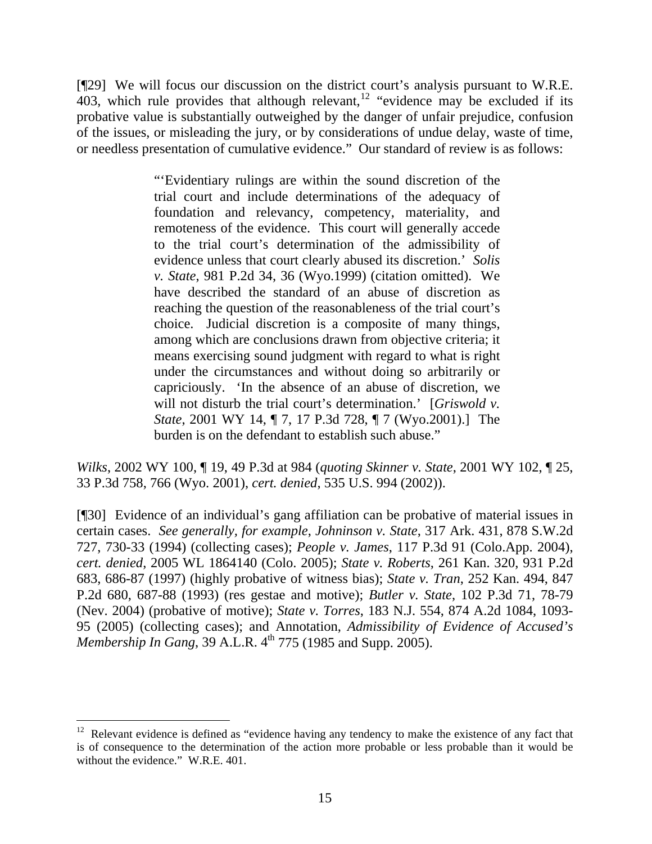[¶29] We will focus our discussion on the district court's analysis pursuant to W.R.E. 403, which rule provides that although relevant, $\frac{12}{3}$  $\frac{12}{3}$  $\frac{12}{3}$  "evidence may be excluded if its probative value is substantially outweighed by the danger of unfair prejudice, confusion of the issues, or misleading the jury, or by considerations of undue delay, waste of time, or needless presentation of cumulative evidence." Our standard of review is as follows:

> "'Evidentiary rulings are within the sound discretion of the trial court and include determinations of the adequacy of foundation and relevancy, competency, materiality, and remoteness of the evidence. This court will generally accede to the trial court's determination of the admissibility of evidence unless that court clearly abused its discretion.' *Solis v. State*, 981 P.2d 34, 36 (Wyo.1999) (citation omitted). We have described the standard of an abuse of discretion as reaching the question of the reasonableness of the trial court's choice. Judicial discretion is a composite of many things, among which are conclusions drawn from objective criteria; it means exercising sound judgment with regard to what is right under the circumstances and without doing so arbitrarily or capriciously. 'In the absence of an abuse of discretion, we will not disturb the trial court's determination.' [*Griswold v. State*, 2001 WY 14, ¶ 7, 17 P.3d 728, ¶ 7 (Wyo.2001).] The burden is on the defendant to establish such abuse."

*Wilks*, 2002 WY 100, ¶ 19, 49 P.3d at 984 (*quoting Skinner v. State*, 2001 WY 102, ¶ 25, 33 P.3d 758, 766 (Wyo. 2001), *cert. denied*, 535 U.S. 994 (2002)).

[¶30] Evidence of an individual's gang affiliation can be probative of material issues in certain cases. *See generally, for example*, *Johninson v. State*, 317 Ark. 431, 878 S.W.2d 727, 730-33 (1994) (collecting cases); *People v. James*, 117 P.3d 91 (Colo.App. 2004), *cert. denied*, 2005 WL 1864140 (Colo. 2005); *State v. Roberts*, 261 Kan. 320, 931 P.2d 683, 686-87 (1997) (highly probative of witness bias); *State v. Tran*, 252 Kan. 494, 847 P.2d 680, 687-88 (1993) (res gestae and motive); *Butler v. State*, 102 P.3d 71, 78-79 (Nev. 2004) (probative of motive); *State v. Torres*, 183 N.J. 554, 874 A.2d 1084, 1093- 95 (2005) (collecting cases); and Annotation, *Admissibility of Evidence of Accused's Membership In Gang*, 39 A.L.R. 4<sup>th</sup> 775 (1985 and Supp. 2005).

<span id="page-15-0"></span> $12$  Relevant evidence is defined as "evidence having any tendency to make the existence of any fact that is of consequence to the determination of the action more probable or less probable than it would be without the evidence." W.R.E. 401.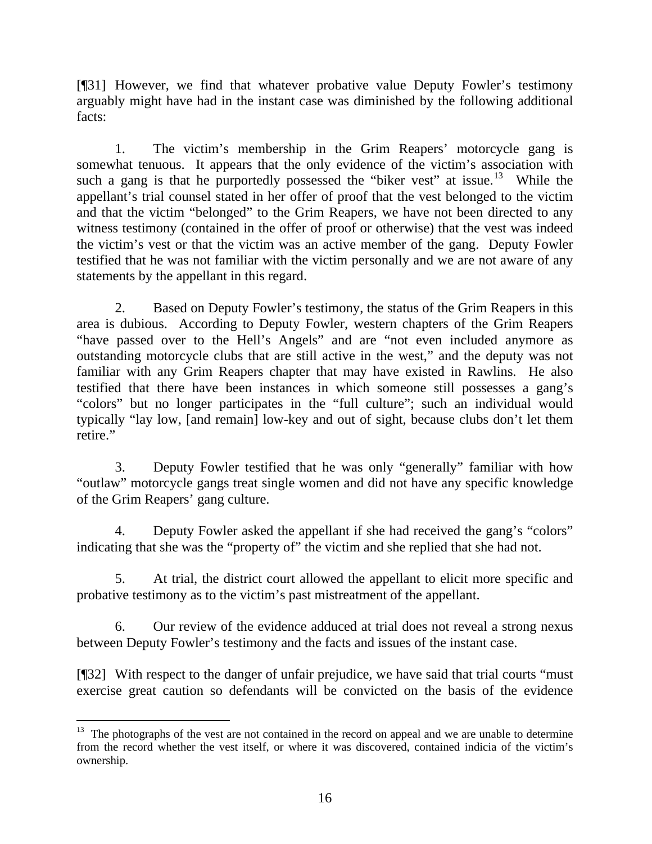[¶31] However, we find that whatever probative value Deputy Fowler's testimony arguably might have had in the instant case was diminished by the following additional facts:

1. The victim's membership in the Grim Reapers' motorcycle gang is somewhat tenuous. It appears that the only evidence of the victim's association with such a gang is that he purportedly possessed the "biker vest" at issue.<sup>[13](#page-16-0)</sup> While the appellant's trial counsel stated in her offer of proof that the vest belonged to the victim and that the victim "belonged" to the Grim Reapers, we have not been directed to any witness testimony (contained in the offer of proof or otherwise) that the vest was indeed the victim's vest or that the victim was an active member of the gang. Deputy Fowler testified that he was not familiar with the victim personally and we are not aware of any statements by the appellant in this regard.

2. Based on Deputy Fowler's testimony, the status of the Grim Reapers in this area is dubious. According to Deputy Fowler, western chapters of the Grim Reapers "have passed over to the Hell's Angels" and are "not even included anymore as outstanding motorcycle clubs that are still active in the west," and the deputy was not familiar with any Grim Reapers chapter that may have existed in Rawlins. He also testified that there have been instances in which someone still possesses a gang's "colors" but no longer participates in the "full culture"; such an individual would typically "lay low, [and remain] low-key and out of sight, because clubs don't let them retire."

3. Deputy Fowler testified that he was only "generally" familiar with how "outlaw" motorcycle gangs treat single women and did not have any specific knowledge of the Grim Reapers' gang culture.

4. Deputy Fowler asked the appellant if she had received the gang's "colors" indicating that she was the "property of" the victim and she replied that she had not.

5. At trial, the district court allowed the appellant to elicit more specific and probative testimony as to the victim's past mistreatment of the appellant.

6. Our review of the evidence adduced at trial does not reveal a strong nexus between Deputy Fowler's testimony and the facts and issues of the instant case.

[¶32] With respect to the danger of unfair prejudice, we have said that trial courts "must exercise great caution so defendants will be convicted on the basis of the evidence

<span id="page-16-0"></span> $\overline{a}$  $13$  The photographs of the vest are not contained in the record on appeal and we are unable to determine from the record whether the vest itself, or where it was discovered, contained indicia of the victim's ownership.